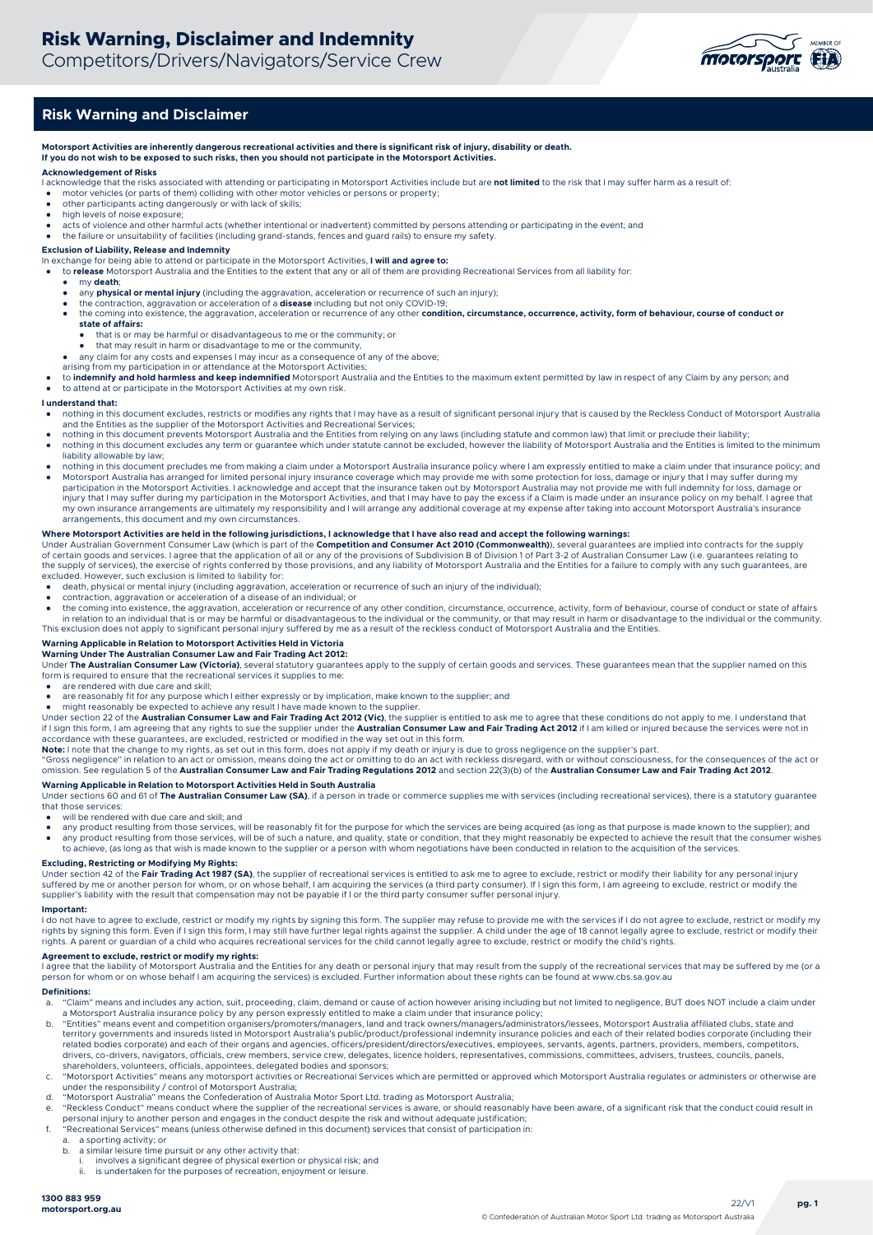

# **Risk Warning and Disclaimer**

**Motorsport Activities are inherently dangerous recreational activities and there is significant risk of injury, disability or death. If you do not wish to be exposed to such risks, then you should not participate in the Motorsport Activities.**

# **Acknowledgement of Risks**

- I acknowledge that the risks associated with attending or participating in Motorsport Activities include but are **not limited** to the risk that I may suffer harm as a result of:
- motor vehicles (or parts of them) colliding with other motor vehicles or persons or property;
- other participants acting dangerously or with lack of skills; high levels of noise exposure;
- 
- acts of violence and other harmful acts (whether intentional or inadvertent) committed by persons attending or participating in the event; and and the failure or unsuitability of facilities (including grand-stands, fences

**Exclusion of Liability, Release and Indemnity** In exchange for being able to attend or participate in the Motorsport Activities, **I will and agree to:** 

- to **release** Motorsport Australia and the Entities to the extent that any or all of them are providing Recreational Services from all liability for:
	- my **death**;
	- any **physical or mental injury** (including the aggravation, acceleration or recurrence of such an injury);
	- the contraction, aggravation or acceleration of a **disease** including but not only COVID-19;<br>• the coming into existence, the aggravation, acceleration or recurrence of any other **condition, circumstance, occurrence, act state of affairs:**
		- that is or may be harmful or disadvantageous to me or the community; or
		- that may result in harm or disadvantage to me or the community,
	- any claim for any costs and expenses I may incur as a consequence of any of the above; arising from my participation in or attendance at the Motorsport Activities;
- 
- to indemnify and hold harmless and keep indemnified Motorsport Australia and the Entities to the maximum extent permitted by law in respect of any Claim by any person; and to attend at or participate in the Motorsport Activities at my own risk.

#### **I understand that:**

- nothing in this document excludes, restricts or modifies any rights that I may have as a result of significant personal injury that is caused by the Reckless Conduct of Motorsport Australia and the Entities as the supplier
- nothing in this document prevents Motorsport Australia and the Entities from relying on any laws (including statute and common law) that limit or preclude their liability; nothing in this document excludes any term or guarantee which under statute cannot be excluded, however the liability of Motorsport Australia and the Entities is limited to the minimum
- liability allowable by law; nothing in this document precludes me from making a claim under a Motorsport Australia insurance policy where I am expressly entitled to make a claim under that insurance policy; and
- Motorsport Australia has arranged for limited personal injury insurance coverage which may provide me with some protection for loss, damage or injury that I may suffer during my participation in the Motorsport Activities. I acknowledge and accept that the insurance taken out by Motorsport Australia may not provide me with full indemnity for loss, damage or<br>injury that I may suffer during my partic my own insurance arrangements are ultimately my responsibility and I will arrange any additional coverage at my expense after taking into account Motorsport Australia's insurance arrangements, this document and my own circumstances.

#### **Where Motorsport Activities are held in the following jurisdictions, I acknowledge that I have also read and accept the following warnings:**

Under Australian Government Consumer Law (which is part of the **Competition and Consumer Act 2010 (Commonwealth)**), several guarantees are implied into contracts for the supply of certain goods and services. I agree that the application of all or any of the provisions of Subdivision B of Division 1 of Part 3-2 of Australian Consumer Law (i.e. guarantees relating to the supply of services), the exercise of rights conferred by those provisions, and any liability of Motorsport Australia and the Entities for a failure to comply with any such guarantees, are<br>excluded. However, such exclus

- 
- death, physical or mental injury (including aggravation, acceleration or recurrence of such an injury of the individual);<br>● contraction, aggravation or acceleration of a disease of an individual; or
- the coming into existence, the aggravation, acceleration or recurrence of any other condition, circumstance, occurrence, activity, form of behaviour, course of conduct or state of affairs<br>in relation to an individual that This exclusion does not apply to significant personal injury suffered by me as a result of the reckless conduct of Motorsport Australia and the Entities.

#### **Warning Applicable in Relation to Motorsport Activities Held in Victoria**

**Warning Under The Australian Consumer Law and Fair Trading Act 2012:** 

Under The Australian Consumer Law (Victoria), several statutory guarantees apply to the supply of certain goods and services. These guarantees mean that the supplier named on this form is required to ensure that the recreational services it supplies to me

- are rendered with due care and skill;
- are reasonably fit for any purpose which I either expressly or by implication, make known to the supplier; and

● might reasonably be expected to achieve any result I have made known to the supplier.<br>Under section 22 of the **Australian Consumer Law and Fair Trading Act 2012 (Vic)**, the supplier is entitled to ask me to agree that t if I sign this form, I am agreeing that any rights to sue the supplier under the **Australian Consumer Law and Fair Trading Act 2012** if I am killed or injured because the services were not in

accordance with these guarantees, are excluded, restricted or modified in the way set out in this form.<br>**Note:** I note that the change to my rights, as set out in this form, does not apply if my death or injury is due to g

"Gross negligence" in relation to an act or omission, means doing the act or omitting to do an act with reckless disregard, with or without consciousness, for the consequences of the act or<br>omission. See regulation 5 of th

**Warning Applicable in Relation to Motorsport Activities Held in South Australia**<br>Under sections 60 and 61 of **The Australian Consumer Law (SA)**, if a person in trade or commerce supplies me with services (including recrea that those services:

will be rendered with due care and skill; and

- any product resulting from those services, will be reasonably fit for the purpose for which the services are being acquired (as long as that purpose is made known to the supplier); and<br>● any product resulting from those any product resulting from those services, will be of such a nature, and quality, state or condition, that they might reasonably be expected to achieve the result that the consumer wishes
- to achieve, (as long as that wish is made known to the supplier or a person with whom negotiations have been conducted in relation to the acquisition of the services.

### **Excluding, Restricting or Modifying My Rights:**

Under section 42 of the **Fair Trading Act 1987 (SA)**, the supplier of recreational services is entitled to ask me to agree to exclude, restrict or modify their liability for any personal injury<br>suffered by me or another pe supplier's liability with the result that compensation may not be payable if I or the third party consumer suffer personal injury.

#### **Important:**

I do not have to agree to exclude, restrict or modify my rights by signing this form. The supplier may refuse to provide me with the services if I do not agree to exclude, restrict or modify my<br>rights by signing this form. rights. A parent or guardian of a child who acquires recreational services for the child cannot legally agree to exclude, restrict or modify the child's rights.

### **Agreement to exclude, restrict or modify my rights:**

I agree that the liability of Motorsport Australia and the Entities for any death or personal injury that may result from the supply of the recreational services that may be suffered by me (or a person for whom or on whose behalf I am acquiring the services) is excluded. Further information about these rights can be found at www.cbs.sa.gov.au

# **Definitions:**

- a. "Claim" means and includes any action, suit, proceeding, claim, demand or cause of action however arising including but not limited to negligence, BUT does NOT include a claim under a Motorsport Australia insurance policy by any person expressly entitled to make a claim under that insurance policy;
- b. "Entities" means event and competition organisers/promoters/managers, land and track owners/managers/administrators/lessees, Motorsport Australia affiliated clubs, state and<br>territory governments and insureds listed in related bodies corporate) and each of their organs and agencies, officers/president/directors/executives, employees, servants, agents, partners, providers, members, competitors, drivers, co-drivers, navigators, officials, crew members, service crew, delegates, licence holders, representatives, commissions, committees, advisers, trustees, councils, panels,<br>shareholders, volunteers, officials, appoi
- c. "Motorsport Activities" means any motorsport activities or Recreational Services which are permitted or approved which Motorsport Australia regulates or administers or otherwise are<br>under the responsibility / control of
- d. "Motorsport Australia" means the Confederation of Australia Motor Sport Ltd. trading as Motorsport Australia;
- e. "Reckless Conduct" means conduct where the supplier of the recreational services is aware, or should reasonably have been aware, of a significant risk that the conduct could result in personal injury to another person and engages in the conduct despite the risk and without adequate justification;
- f. "Recreational Services" means (unless otherwise defined in this document) services that consist of participation in:
	- a. a sporting activity; or<br>b. a similar leisure time r
		- a similar leisure time pursuit or any other activity that:
		- i. involves a significant degree of physical exertion or physical risk; and<br>i. is undertaken for the purposes of recreation opieves at leisure
		- is undertaken for the purposes of recreation, enjoyment or leisure